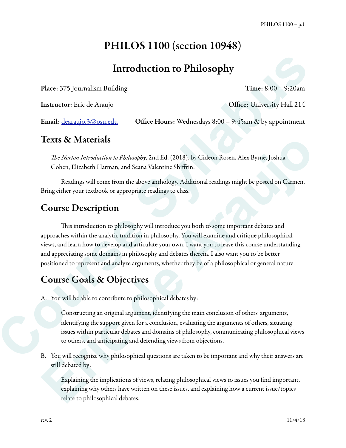# PHILOS 1100 (section 10948)

# Introduction to Philosophy

Place: 375 Journalism Building Time: 8:00 – 9:20am

Instructor: Eric de Araujo **Office: University Hall 214** 

Email: <u>dearaujo.3@osu.edu</u> Office Hours: Wednesdays 8:00 – 9:45am & by appointment

### Texts & Materials

T*e Norton Introduction to Philosophy*, 2nd Ed. (2018), by Gideon Rosen, Alex Byrne, Joshua Cohen, Elizabeth Harman, and Seana Valentine Shiffrin.

 Readings will come from the above anthology. Additional readings might be posted on Carmen. Bring either your textbook or appropriate readings to class.

### Course Description

This introduction to philosophy will introduce you both to some important debates and approaches within the analytic tradition in philosophy. You will examine and critique philosophical views, and learn how to develop and articulate your own. I want you to leave this course understanding and appreciating some domains in philosophy and debates therein. I also want you to be better positioned to represent and analyze arguments, whether they be of a philosophical or general nature. **Course Course Course Course Course Course Course Course Course Syllabus Burnet<br>
Course Syllabus Burneting Course Sylvantics of the course of the course of the syllabuse of the course of the syllabuse of the course of the Texts & Materials**<br>
The Norton Introduction to Philosophy, 2nd Ed. (2018), by Gideon Rosen, Alex Byrne, Joshua<br>
Colnen, Elizabeth Harman, and Seaux Valentine Shiffrin.<br>
Readings will conce from the above anthology. Additi

## Course Goals & Objectives

A. You will be able to contribute to philosophical debates by:

Constructing an original argument, identifying the main conclusion of others' arguments, identifying the support given for a conclusion, evaluating the arguments of others, situating issues within particular debates and domains of philosophy, communicating philosophical views to others, and anticipating and defending views from objections.

B. You will recognize why philosophical questions are taken to be important and why their answers are still debated by:

Explaining the implications of views, relating philosophical views to issues you find important, explaining why others have written on these issues, and explaining how a current issue/topics relate to philosophical debates.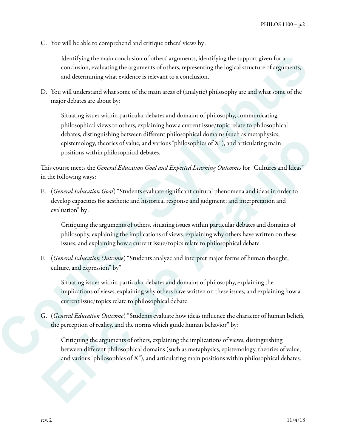C. You will be able to comprehend and critique others' views by:

Identifying the main conclusion of others' arguments, identifying the support given for a conclusion, evaluating the arguments of others, representing the logical structure of arguments, and determining what evidence is relevant to a conclusion.

D. You will understand what some of the main areas of (analytic) philosophy are and what some of the major debates are about by:

Situating issues within particular debates and domains of philosophy, communicating philosophical views to others, explaining how a current issue/topic relate to philosophical debates, distinguishing between different philosophical domains (such as metaphysics, epistemology, theories of value, and various "philosophies of  $X$ "), and articulating main positions within philosophical debates. Leanting the main conclusion of relacts arguments, cleantlying the support given for a<br>conclusion, evaluating the arguments of others, representing the bigical structure of arguments,<br>and determining what evidence is relev

This course meets the *General Education Goal and Expected Learning Outcomes* for "Cultures and Ideas" in the following ways:

E. (*General Education Goal*) "Students evaluate significant cultural phenomena and ideas in order to develop capacities for aesthetic and historical response and judgment; and interpretation and evaluation" by: epistemology, theories of value, and various "philosophies of X"), and articularing main<br>positions within philosophical debates.<br>
This conventes the Granul Education Goal and Expected Learning Outcomes for "Cultures and I

Critiquing the arguments of others, situating issues within particular debates and domains of philosophy, explaining the implications of views. explaining why others have written on these issues, and explaining how a current issue/topics relate to philosophical debate.

F. (*General Education Outcome*) "Students analyze and interpret major forms of human thought, culture, and expression" by"

Situating issues within particular debates and domains of philosophy, explaining the implications of views, explaining why others have written on these issues, and explaining how a current issue/topics relate to philosophical debate.

G. (*General Education Outcome*) "Students evaluate how ideas influence the character of human beliefs, the perception of reality, and the norms which guide human behavior" by:

Critiquing the arguments of others, explaining the implications of views, distinguishing between different philosophical domains (such as metaphysics, epistemology, theories of value, and various "philosophies of X"), and articulating main positions within philosophical debates.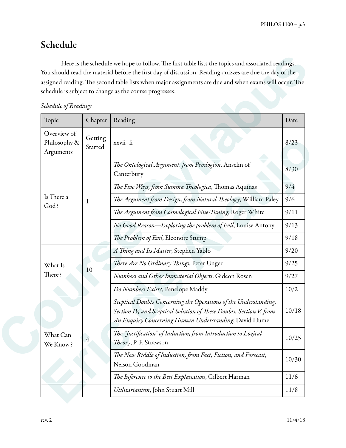## Schedule

| Schedule of Readings |  |  |  |
|----------------------|--|--|--|
|----------------------|--|--|--|

| Schedule of Readings                     |                    |                                                                                                                                                                                                  |       |
|------------------------------------------|--------------------|--------------------------------------------------------------------------------------------------------------------------------------------------------------------------------------------------|-------|
| Topic                                    | Chapter            | Reading                                                                                                                                                                                          | Date  |
| Overview of<br>Philosophy &<br>Arguments | Getting<br>Started | xxvii-li                                                                                                                                                                                         | 8/23  |
|                                          |                    | The Ontological Argument, from Proslogion, Anselm of<br>Canterbury                                                                                                                               | 8/30  |
|                                          |                    | The Five Ways, from Summa Theologica, Thomas Aquinas                                                                                                                                             | 9/4   |
| Is There a                               | 1                  | The Argument from Design, from Natural Theology, William Paley                                                                                                                                   | 9/6   |
| God?                                     |                    | The Argument from Cosmological Fine-Tuning, Roger White                                                                                                                                          | 9/11  |
|                                          |                    | No Good Reason-Exploring the problem of Evil, Louise Antony                                                                                                                                      | 9/13  |
|                                          |                    | The Problem of Evil, Eleonore Stump                                                                                                                                                              | 9/18  |
|                                          |                    | A Thing and Its Matter, Stephen Yablo                                                                                                                                                            | 9/20  |
| What Is                                  |                    | There Are No Ordinary Things, Peter Unger                                                                                                                                                        | 9/25  |
| There?                                   | 10                 | Numbers and Other Immaterial Objects, Gideon Rosen                                                                                                                                               | 9/27  |
|                                          |                    | Do Numbers Exist?, Penelope Maddy                                                                                                                                                                | 10/2  |
|                                          |                    | Sceptical Doubts Concerning the Operations of the Understanding,<br>Section IV, and Sceptical Solution of These Doubts, Section V, from<br>An Enquiry Concerning Human Understanding, David Hume | 10/18 |
| What Can<br>We Know?                     | 4                  | The "Justification" of Induction, from Introduction to Logical<br>Theory, P. F. Strawson                                                                                                         | 10/25 |
|                                          |                    | The New Riddle of Induction, from Fact, Fiction, and Forecast,<br>Nelson Goodman                                                                                                                 | 10/30 |
|                                          |                    | The Inference to the Best Explanation, Gilbert Harman                                                                                                                                            | 11/6  |
|                                          |                    | Utilitarianism, John Stuart Mill                                                                                                                                                                 | 11/8  |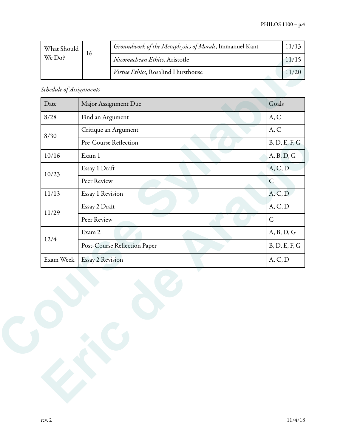| What Should | 16 | Groundwork of the Metaphysics of Morals, Immanuel Kant |  |
|-------------|----|--------------------------------------------------------|--|
| We Do?      |    | Nicomachean Ethics, Aristotle                          |  |
|             |    | Virtue Ethics, Rosalind Hursthouse                     |  |

| A, C          |
|---------------|
| A, C          |
| B, D, E, F, G |
| A, B, D, G    |
| A, C, D       |
| $\mathsf{C}$  |
| A, C, D       |
| A, C, D       |
| $\mathsf{C}$  |
| A, B, D, G    |
| B, D, E, F, G |
| A, C, D       |
|               |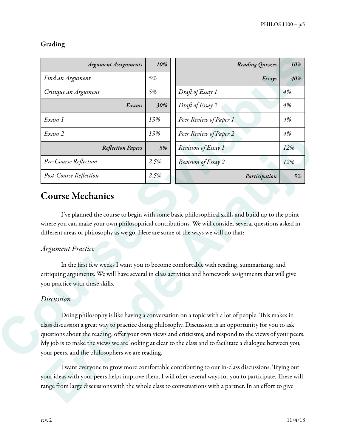#### Grading

| <b>Argument Assignments</b>                                                                                                               | 10%  | Reading Quizzes                                                                                                                                                                                         | 10% |
|-------------------------------------------------------------------------------------------------------------------------------------------|------|---------------------------------------------------------------------------------------------------------------------------------------------------------------------------------------------------------|-----|
| Find an Argument                                                                                                                          | 5%   | Essays                                                                                                                                                                                                  | 40% |
| Critique an Argument                                                                                                                      | 5%   | Draft of Essay 1                                                                                                                                                                                        | 4%  |
| Exams                                                                                                                                     | 30%  | Draft of Essay 2                                                                                                                                                                                        | 4%  |
| Exam 1                                                                                                                                    | 15%  | Peer Review of Paper 1                                                                                                                                                                                  | 4%  |
| Exam 2                                                                                                                                    | 15%  | Peer Review of Paper 2                                                                                                                                                                                  | 4%  |
| <b>Reflection Papers</b>                                                                                                                  | 5%   | Revision of Essay 1                                                                                                                                                                                     | 12% |
| Pre-Course Reflection                                                                                                                     | 2.5% | Revision of Essay 2                                                                                                                                                                                     | 12% |
| Post-Course Reflection                                                                                                                    | 2.5% | Participation                                                                                                                                                                                           | 5%  |
| <b>Course Mechanics</b><br>different areas of philosophy as we go. Here are some of the ways we will do that:<br><b>Argument Practice</b> |      | I've planned the course to begin with some basic philosophical skills and build up to the point<br>where you can make your own philosophical contributions. We will consider several questions asked in |     |
|                                                                                                                                           |      | In the first few weeks I want you to become comfortable with reading, summarizing, and<br>critiquing arguments. We will have several in class activities and homework assignments that will give        |     |
| you practice with these skills.<br>Discussion                                                                                             |      |                                                                                                                                                                                                         |     |

### Course Mechanics

#### *Argument Practice*

#### *Discussion*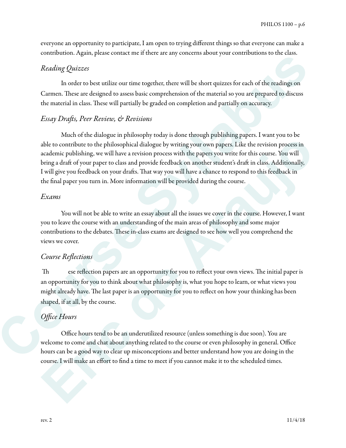everyone an opportunity to participate, I am open to trying different things so that everyone can make a contribution. Again, please contact me if there are any concerns about your contributions to the class.

#### *Reading Quizzes*

 In order to best utilize our time together, there will be short quizzes for each of the readings on Carmen. These are designed to assess basic comprehension of the material so you are prepared to discuss the material in class. These will partially be graded on completion and partially on accuracy.

#### *Essay Dra*f*s, Peer Review, & Revisions*

Much of the dialogue in philosophy today is done through publishing papers. I want you to be able to contribute to the philosophical dialogue by writing your own papers. Like the revision process in academic publishing, we will have a revision process with the papers you write for this course. You will bring a draft of your paper to class and provide feedback on another student's draft in class. Additionally, I will give you feedback on your drafs. Tat way you will have a chance to respond to this feedback in the final paper you turn in. More information will be provided during the course. **Could by the Course Course Course Course Course Theorem and Syll Constantine in the case.**<br> **Course,** These are designed to assess based competitions of the metatrical population can be a former. These are designed to ass able to contribute to the philosophical dialogue by writing your own papers. Is ke the revision process in an<br>academic publishing we will have a revision process with the papers write of the between the contribute to the p

#### *Exams*

You will not be able to write an essay about all the issues we cover in the course. However, I want you to leave the course with an understanding of the main areas of philosophy and some major contributions to the debates. These in-class exams are designed to see how well you comprehend the views we cover.

#### *Course Re*fl*ections*

Th ese reflection papers are an opportunity for you to reflect your own views. The initial paper is an opportunity for you to think about what philosophy is, what you hope to learn, or what views you might already have. The last paper is an opportunity for you to reflect on how your thinking has been shaped, if at all, by the course.

#### *O*ffi*ce Hours*

 Office hours tend to be an underutilized resource (unless something is due soon). You are welcome to come and chat about anything related to the course or even philosophy in general. Office hours can be a good way to clear up misconceptions and better understand how you are doing in the course. I will make an effort to find a time to meet if you cannot make it to the scheduled times.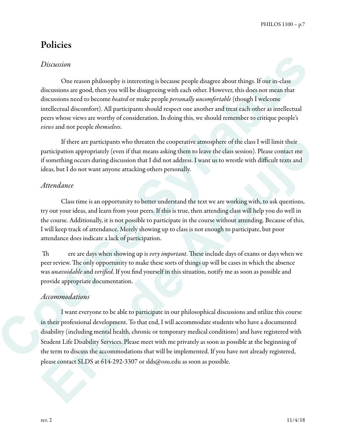### Policies

#### *Discussion*

 One reason philosophy is interesting is because people disagree about things. If our in-class discussions are good, then you will be disagreeing with each other. However, this does not mean that discussions need to become *heated* or make people *personally uncomfortable* (though I welcome intellectual discomfort). All participants should respect one another and treat each other as intellectual peers whose views are worthy of consideration. In doing this, we should remember to critique people's *views* and not people *themselves*. Discussions<br>
Cone reason philosophy is interesting is because people disagree about things. If our in-class<br>
discussions are good, choo you will be disagreeing with each observation<br>
discussions are discussions and the sys

 If there are participants who threaten the cooperative atmosphere of the class I will limit their participation appropriately (even if that means asking them to leave the class session). Please contact me if something occurs during discussion that I did not address. I want us to wrestle with difficult texts and ideas, but I do not want anyone attacking others personally.

#### *Attendance*

 Class time is an opportunity to better understand the text we are working with, to ask questions, try out your ideas, and learn from your peers. If this is true, then attending class will help you do well in the course. Additionally, it is not possible to participate in the course without attending. Because of this, I will keep track of attendance. Merely showing up to class is not enough to participate, but poor attendance does indicate a lack of participation.

Th ere are days when showing up is *very important*. These include days of exams or days when we peer review. The only opportunity to make these sorts of things up will be cases in which the absence was *una*v*oidable* and *veri*fi*ed*. If you find yourself in this situation, notify me as soon as possible and provide appropriate documentation.

#### *Accommodations*

 I want everyone to be able to participate in our philosophical discussions and utilize this course in their professional development. To that end, I will accommodate students who have a documented disability (including mental health, chronic or temporary medical conditions) and have registered with Student Life Disability Services. Please meet with me privately as soon as possible at the beginning of the term to discuss the accommodations that will be implemented. If you have not already registered, please contact SLDS at 614-292-3307 or slds@osu.edu as soon as possible. If there are participants who threaten the cooperative atmosphere of the class I will limit their participate<br>participation appropriately (even if that means absing them to leave the class uses<br>in). Please contact means th